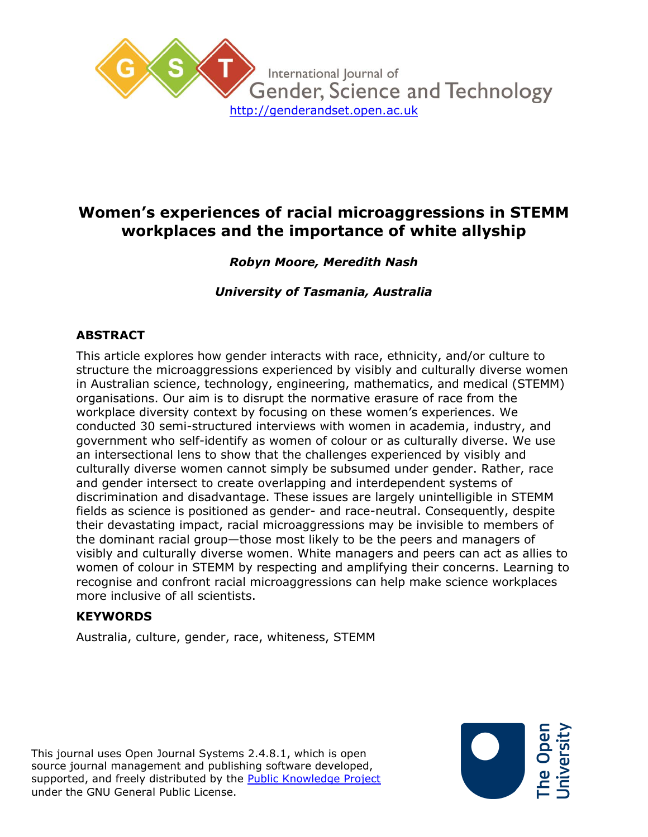

# **Women's experiences of racial microaggressions in STEMM workplaces and the importance of white allyship**

## *Robyn Moore, Meredith Nash*

*University of Tasmania, Australia*

## **ABSTRACT**

This article explores how gender interacts with race, ethnicity, and/or culture to structure the microaggressions experienced by visibly and culturally diverse women in Australian science, technology, engineering, mathematics, and medical (STEMM) organisations. Our aim is to disrupt the normative erasure of race from the workplace diversity context by focusing on these women's experiences. We conducted 30 semi-structured interviews with women in academia, industry, and government who self-identify as women of colour or as culturally diverse. We use an intersectional lens to show that the challenges experienced by visibly and culturally diverse women cannot simply be subsumed under gender. Rather, race and gender intersect to create overlapping and interdependent systems of discrimination and disadvantage. These issues are largely unintelligible in STEMM fields as science is positioned as gender- and race-neutral. Consequently, despite their devastating impact, racial microaggressions may be invisible to members of the dominant racial group—those most likely to be the peers and managers of visibly and culturally diverse women. White managers and peers can act as allies to women of colour in STEMM by respecting and amplifying their concerns. Learning to recognise and confront racial microaggressions can help make science workplaces more inclusive of all scientists.

#### **KEYWORDS**

Australia, culture, gender, race, whiteness, STEMM

This journal uses Open Journal Systems 2.4.8.1, which is open source journal management and publishing software developed, supported, and freely distributed by the [Public Knowledge Project](http://pkp.sfu.ca/) under the GNU General Public License.

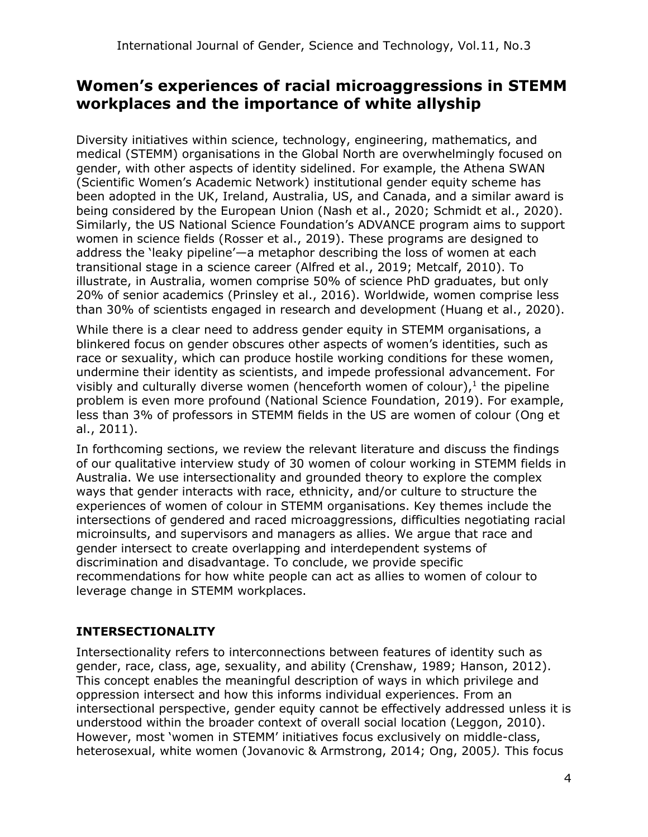# **Women's experiences of racial microaggressions in STEMM workplaces and the importance of white allyship**

Diversity initiatives within science, technology, engineering, mathematics, and medical (STEMM) organisations in the Global North are overwhelmingly focused on gender, with other aspects of identity sidelined. For example, the Athena SWAN (Scientific Women's Academic Network) institutional gender equity scheme has been adopted in the UK, Ireland, Australia, US, and Canada, and a similar award is being considered by the European Union (Nash et al., 2020; Schmidt et al., 2020). Similarly, the US National Science Foundation's ADVANCE program aims to support women in science fields (Rosser et al., 2019). These programs are designed to address the 'leaky pipeline'—a metaphor describing the loss of women at each transitional stage in a science career (Alfred et al., 2019; Metcalf, 2010). To illustrate, in Australia, women comprise 50% of science PhD graduates, but only 20% of senior academics (Prinsley et al., 2016). Worldwide, women comprise less than 30% of scientists engaged in research and development (Huang et al., 2020).

While there is a clear need to address gender equity in STEMM organisations, a blinkered focus on gender obscures other aspects of women's identities, such as race or sexuality, which can produce hostile working conditions for these women, undermine their identity as scientists, and impede professional advancement. For visibly and culturally diverse women (henceforth women of colour), $<sup>1</sup>$  the pipeline</sup> problem is even more profound (National Science Foundation, 2019). For example, less than 3% of professors in STEMM fields in the US are women of colour (Ong et al., 2011).

In forthcoming sections, we review the relevant literature and discuss the findings of our qualitative interview study of 30 women of colour working in STEMM fields in Australia. We use intersectionality and grounded theory to explore the complex ways that gender interacts with race, ethnicity, and/or culture to structure the experiences of women of colour in STEMM organisations. Key themes include the intersections of gendered and raced microaggressions, difficulties negotiating racial microinsults, and supervisors and managers as allies. We argue that race and gender intersect to create overlapping and interdependent systems of discrimination and disadvantage. To conclude, we provide specific recommendations for how white people can act as allies to women of colour to leverage change in STEMM workplaces.

### **INTERSECTIONALITY**

Intersectionality refers to interconnections between features of identity such as gender, race, class, age, sexuality, and ability (Crenshaw, 1989; Hanson, 2012). This concept enables the meaningful description of ways in which privilege and oppression intersect and how this informs individual experiences. From an intersectional perspective, gender equity cannot be effectively addressed unless it is understood within the broader context of overall social location (Leggon, 2010). However, most 'women in STEMM' initiatives focus exclusively on middle-class, heterosexual, white women (Jovanovic & Armstrong, 2014; Ong, 2005*).* This focus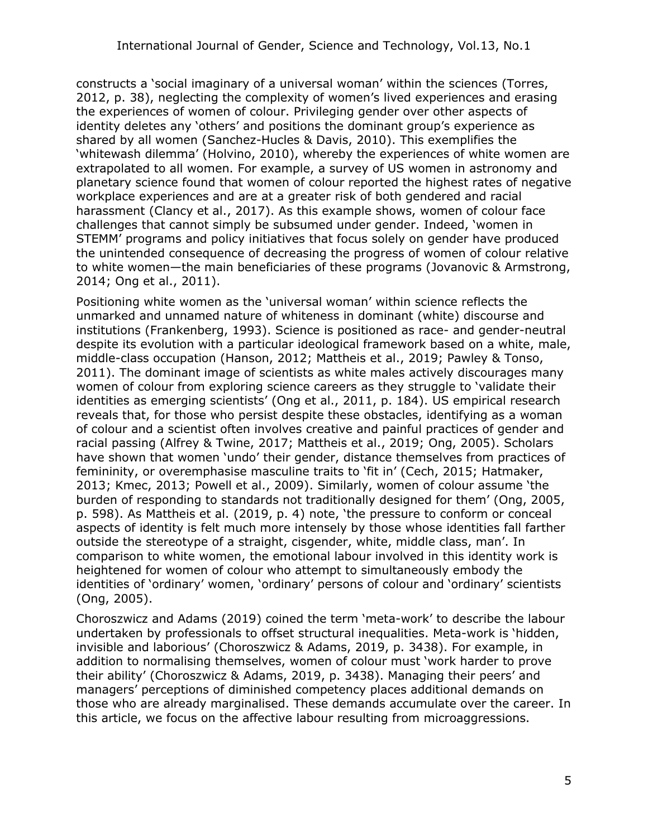constructs a 'social imaginary of a universal woman' within the sciences (Torres, 2012, p. 38), neglecting the complexity of women's lived experiences and erasing the experiences of women of colour. Privileging gender over other aspects of identity deletes any 'others' and positions the dominant group's experience as shared by all women (Sanchez-Hucles & Davis, 2010). This exemplifies the 'whitewash dilemma' (Holvino, 2010), whereby the experiences of white women are extrapolated to all women. For example, a survey of US women in astronomy and planetary science found that women of colour reported the highest rates of negative workplace experiences and are at a greater risk of both gendered and racial harassment (Clancy et al., 2017). As this example shows, women of colour face challenges that cannot simply be subsumed under gender. Indeed, 'women in STEMM' programs and policy initiatives that focus solely on gender have produced the unintended consequence of decreasing the progress of women of colour relative to white women—the main beneficiaries of these programs (Jovanovic & Armstrong, 2014; Ong et al., 2011).

Positioning white women as the 'universal woman' within science reflects the unmarked and unnamed nature of whiteness in dominant (white) discourse and institutions (Frankenberg, 1993). Science is positioned as race- and gender-neutral despite its evolution with a particular ideological framework based on a white, male, middle-class occupation (Hanson, 2012; Mattheis et al., 2019; Pawley & Tonso, 2011). The dominant image of scientists as white males actively discourages many women of colour from exploring science careers as they struggle to 'validate their identities as emerging scientists' (Ong et al., 2011, p. 184). US empirical research reveals that, for those who persist despite these obstacles, identifying as a woman of colour and a scientist often involves creative and painful practices of gender and racial passing (Alfrey & Twine, 2017; Mattheis et al., 2019; Ong, 2005). Scholars have shown that women 'undo' their gender, distance themselves from practices of femininity, or overemphasise masculine traits to 'fit in' (Cech, 2015; Hatmaker, 2013; Kmec, 2013; Powell et al., 2009). Similarly, women of colour assume 'the burden of responding to standards not traditionally designed for them' (Ong, 2005, p. 598). As Mattheis et al. (2019, p. 4) note, 'the pressure to conform or conceal aspects of identity is felt much more intensely by those whose identities fall farther outside the stereotype of a straight, cisgender, white, middle class, man'. In comparison to white women, the emotional labour involved in this identity work is heightened for women of colour who attempt to simultaneously embody the identities of 'ordinary' women, 'ordinary' persons of colour and 'ordinary' scientists (Ong, 2005).

Choroszwicz and Adams (2019) coined the term 'meta-work' to describe the labour undertaken by professionals to offset structural inequalities. Meta-work is 'hidden, invisible and laborious' (Choroszwicz & Adams, 2019, p. 3438). For example, in addition to normalising themselves, women of colour must 'work harder to prove their ability' (Choroszwicz & Adams, 2019, p. 3438). Managing their peers' and managers' perceptions of diminished competency places additional demands on those who are already marginalised. These demands accumulate over the career. In this article, we focus on the affective labour resulting from microaggressions.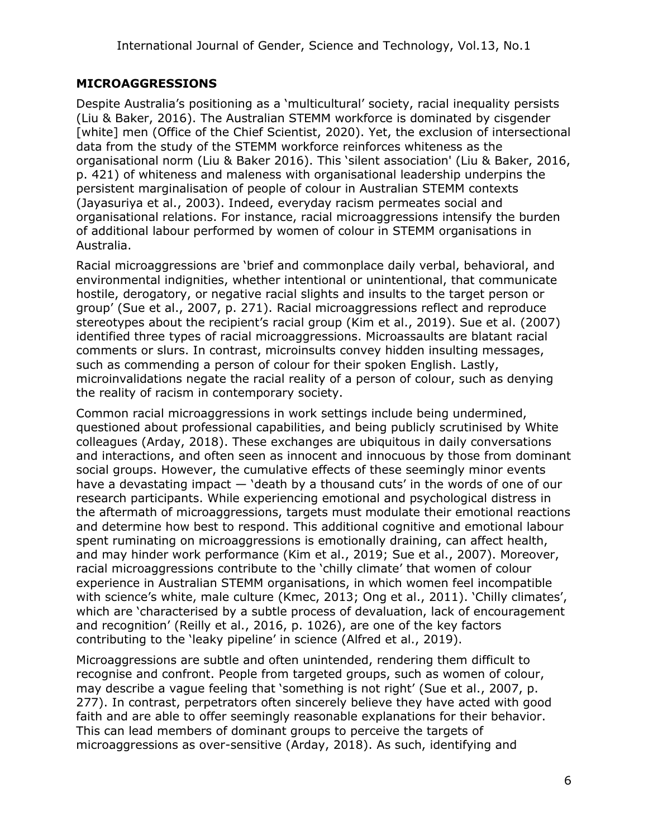### **MICROAGGRESSIONS**

Despite Australia's positioning as a 'multicultural' society, racial inequality persists (Liu & Baker, 2016). The Australian STEMM workforce is dominated by cisgender [white] men (Office of the Chief Scientist, 2020). Yet, the exclusion of intersectional data from the study of the STEMM workforce reinforces whiteness as the organisational norm (Liu & Baker 2016). This 'silent association' (Liu & Baker, 2016, p. 421) of whiteness and maleness with organisational leadership underpins the persistent marginalisation of people of colour in Australian STEMM contexts (Jayasuriya et al., 2003). Indeed, everyday racism permeates social and organisational relations. For instance, racial microaggressions intensify the burden of additional labour performed by women of colour in STEMM organisations in Australia.

Racial microaggressions are 'brief and commonplace daily verbal, behavioral, and environmental indignities, whether intentional or unintentional, that communicate hostile, derogatory, or negative racial slights and insults to the target person or group' (Sue et al., 2007, p. 271). Racial microaggressions reflect and reproduce stereotypes about the recipient's racial group (Kim et al., 2019). Sue et al. (2007) identified three types of racial microaggressions. Microassaults are blatant racial comments or slurs. In contrast, microinsults convey hidden insulting messages, such as commending a person of colour for their spoken English. Lastly, microinvalidations negate the racial reality of a person of colour, such as denying the reality of racism in contemporary society.

Common racial microaggressions in work settings include being undermined, questioned about professional capabilities, and being publicly scrutinised by White colleagues (Arday, 2018). These exchanges are ubiquitous in daily conversations and interactions, and often seen as innocent and innocuous by those from dominant social groups. However, the cumulative effects of these seemingly minor events have a devastating impact — 'death by a thousand cuts' in the words of one of our research participants. While experiencing emotional and psychological distress in the aftermath of microaggressions, targets must modulate their emotional reactions and determine how best to respond. This additional cognitive and emotional labour spent ruminating on microaggressions is emotionally draining, can affect health, and may hinder work performance (Kim et al., 2019; Sue et al., 2007). Moreover, racial microaggressions contribute to the 'chilly climate' that women of colour experience in Australian STEMM organisations, in which women feel incompatible with science's white, male culture (Kmec, 2013; Ong et al., 2011). 'Chilly climates', which are 'characterised by a subtle process of devaluation, lack of encouragement and recognition' (Reilly et al., 2016, p. 1026), are one of the key factors contributing to the 'leaky pipeline' in science (Alfred et al., 2019).

Microaggressions are subtle and often unintended, rendering them difficult to recognise and confront. People from targeted groups, such as women of colour, may describe a vague feeling that 'something is not right' (Sue et al., 2007, p. 277). In contrast, perpetrators often sincerely believe they have acted with good faith and are able to offer seemingly reasonable explanations for their behavior. This can lead members of dominant groups to perceive the targets of microaggressions as over-sensitive (Arday, 2018). As such, identifying and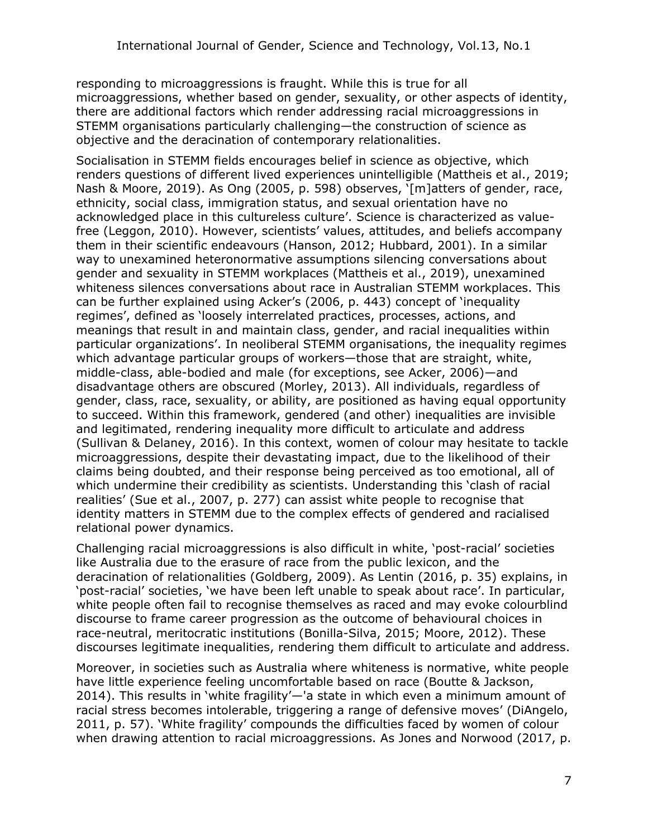responding to microaggressions is fraught. While this is true for all microaggressions, whether based on gender, sexuality, or other aspects of identity, there are additional factors which render addressing racial microaggressions in STEMM organisations particularly challenging—the construction of science as objective and the deracination of contemporary relationalities.

Socialisation in STEMM fields encourages belief in science as objective, which renders questions of different lived experiences unintelligible (Mattheis et al., 2019; Nash & Moore, 2019). As Ong (2005, p. 598) observes, '[m]atters of gender, race, ethnicity, social class, immigration status, and sexual orientation have no acknowledged place in this cultureless culture'. Science is characterized as valuefree (Leggon, 2010). However, scientists' values, attitudes, and beliefs accompany them in their scientific endeavours (Hanson, 2012; Hubbard, 2001). In a similar way to unexamined heteronormative assumptions silencing conversations about gender and sexuality in STEMM workplaces (Mattheis et al., 2019), unexamined whiteness silences conversations about race in Australian STEMM workplaces. This can be further explained using Acker's (2006, p. 443) concept of 'inequality regimes', defined as 'loosely interrelated practices, processes, actions, and meanings that result in and maintain class, gender, and racial inequalities within particular organizations'. In neoliberal STEMM organisations, the inequality regimes which advantage particular groups of workers—those that are straight, white, middle-class, able-bodied and male (for exceptions, see Acker, 2006)—and disadvantage others are obscured (Morley, 2013). All individuals, regardless of gender, class, race, sexuality, or ability, are positioned as having equal opportunity to succeed. Within this framework, gendered (and other) inequalities are invisible and legitimated, rendering inequality more difficult to articulate and address (Sullivan & Delaney, 2016). In this context, women of colour may hesitate to tackle microaggressions, despite their devastating impact, due to the likelihood of their claims being doubted, and their response being perceived as too emotional, all of which undermine their credibility as scientists. Understanding this 'clash of racial realities' (Sue et al., 2007, p. 277) can assist white people to recognise that identity matters in STEMM due to the complex effects of gendered and racialised relational power dynamics.

Challenging racial microaggressions is also difficult in white, 'post-racial' societies like Australia due to the erasure of race from the public lexicon, and the deracination of relationalities (Goldberg, 2009). As Lentin (2016, p. 35) explains, in 'post-racial' societies, 'we have been left unable to speak about race'. In particular, white people often fail to recognise themselves as raced and may evoke colourblind discourse to frame career progression as the outcome of behavioural choices in race-neutral, meritocratic institutions (Bonilla-Silva, 2015; Moore, 2012). These discourses legitimate inequalities, rendering them difficult to articulate and address.

Moreover, in societies such as Australia where whiteness is normative, white people have little experience feeling uncomfortable based on race (Boutte & Jackson, 2014). This results in 'white fragility'—'a state in which even a minimum amount of racial stress becomes intolerable, triggering a range of defensive moves' (DiAngelo, 2011, p. 57). 'White fragility' compounds the difficulties faced by women of colour when drawing attention to racial microaggressions. As Jones and Norwood (2017, p.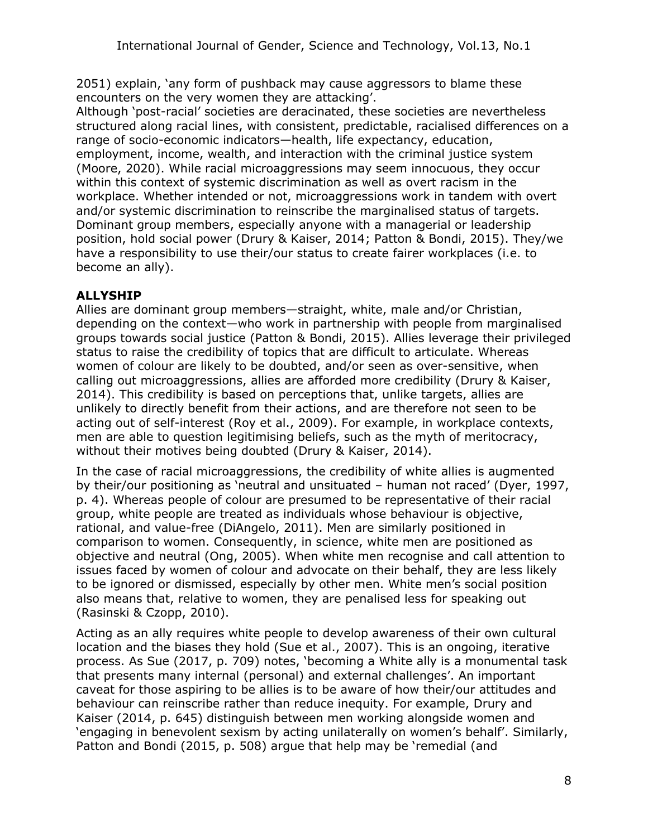2051) explain, 'any form of pushback may cause aggressors to blame these encounters on the very women they are attacking'.

Although 'post-racial' societies are deracinated, these societies are nevertheless structured along racial lines, with consistent, predictable, racialised differences on a range of socio-economic indicators—health, life expectancy, education, employment, income, wealth, and interaction with the criminal justice system (Moore, 2020). While racial microaggressions may seem innocuous, they occur within this context of systemic discrimination as well as overt racism in the workplace. Whether intended or not, microaggressions work in tandem with overt and/or systemic discrimination to reinscribe the marginalised status of targets. Dominant group members, especially anyone with a managerial or leadership position, hold social power (Drury & Kaiser, 2014; Patton & Bondi, 2015). They/we have a responsibility to use their/our status to create fairer workplaces (i.e. to become an ally).

### **ALLYSHIP**

Allies are dominant group members—straight, white, male and/or Christian, depending on the context—who work in partnership with people from marginalised groups towards social justice (Patton & Bondi, 2015). Allies leverage their privileged status to raise the credibility of topics that are difficult to articulate. Whereas women of colour are likely to be doubted, and/or seen as over-sensitive, when calling out microaggressions, allies are afforded more credibility (Drury & Kaiser, 2014). This credibility is based on perceptions that, unlike targets, allies are unlikely to directly benefit from their actions, and are therefore not seen to be acting out of self-interest (Roy et al., 2009). For example, in workplace contexts, men are able to question legitimising beliefs, such as the myth of meritocracy, without their motives being doubted (Drury & Kaiser, 2014).

In the case of racial microaggressions, the credibility of white allies is augmented by their/our positioning as 'neutral and unsituated – human not raced' (Dyer, 1997, p. 4). Whereas people of colour are presumed to be representative of their racial group, white people are treated as individuals whose behaviour is objective, rational, and value-free (DiAngelo, 2011). Men are similarly positioned in comparison to women. Consequently, in science, white men are positioned as objective and neutral (Ong, 2005). When white men recognise and call attention to issues faced by women of colour and advocate on their behalf, they are less likely to be ignored or dismissed, especially by other men. White men's social position also means that, relative to women, they are penalised less for speaking out (Rasinski & Czopp, 2010).

Acting as an ally requires white people to develop awareness of their own cultural location and the biases they hold (Sue et al., 2007). This is an ongoing, iterative process. As Sue (2017, p. 709) notes, 'becoming a White ally is a monumental task that presents many internal (personal) and external challenges'. An important caveat for those aspiring to be allies is to be aware of how their/our attitudes and behaviour can reinscribe rather than reduce inequity. For example, Drury and Kaiser (2014, p. 645) distinguish between men working alongside women and 'engaging in benevolent sexism by acting unilaterally on women's behalf'. Similarly, Patton and Bondi (2015, p. 508) argue that help may be 'remedial (and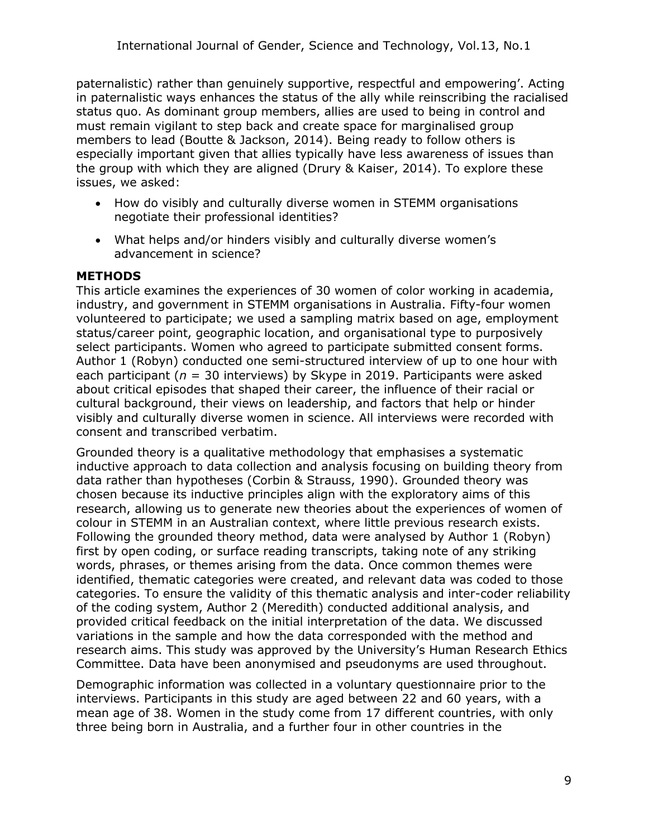paternalistic) rather than genuinely supportive, respectful and empowering'. Acting in paternalistic ways enhances the status of the ally while reinscribing the racialised status quo. As dominant group members, allies are used to being in control and must remain vigilant to step back and create space for marginalised group members to lead (Boutte & Jackson, 2014). Being ready to follow others is especially important given that allies typically have less awareness of issues than the group with which they are aligned (Drury & Kaiser, 2014). To explore these issues, we asked:

- How do visibly and culturally diverse women in STEMM organisations negotiate their professional identities?
- What helps and/or hinders visibly and culturally diverse women's advancement in science?

### **METHODS**

This article examines the experiences of 30 women of color working in academia, industry, and government in STEMM organisations in Australia. Fifty-four women volunteered to participate; we used a sampling matrix based on age, employment status/career point, geographic location, and organisational type to purposively select participants. Women who agreed to participate submitted consent forms. Author 1 (Robyn) conducted one semi-structured interview of up to one hour with each participant (*n* = 30 interviews) by Skype in 2019. Participants were asked about critical episodes that shaped their career, the influence of their racial or cultural background, their views on leadership, and factors that help or hinder visibly and culturally diverse women in science. All interviews were recorded with consent and transcribed verbatim.

Grounded theory is a qualitative methodology that emphasises a systematic inductive approach to data collection and analysis focusing on building theory from data rather than hypotheses (Corbin & Strauss, 1990). Grounded theory was chosen because its inductive principles align with the exploratory aims of this research, allowing us to generate new theories about the experiences of women of colour in STEMM in an Australian context, where little previous research exists. Following the grounded theory method, data were analysed by Author 1 (Robyn) first by open coding, or surface reading transcripts, taking note of any striking words, phrases, or themes arising from the data. Once common themes were identified, thematic categories were created, and relevant data was coded to those categories. To ensure the validity of this thematic analysis and inter-coder reliability of the coding system, Author 2 (Meredith) conducted additional analysis, and provided critical feedback on the initial interpretation of the data. We discussed variations in the sample and how the data corresponded with the method and research aims. This study was approved by the University's Human Research Ethics Committee. Data have been anonymised and pseudonyms are used throughout.

Demographic information was collected in a voluntary questionnaire prior to the interviews. Participants in this study are aged between 22 and 60 years, with a mean age of 38. Women in the study come from 17 different countries, with only three being born in Australia, and a further four in other countries in the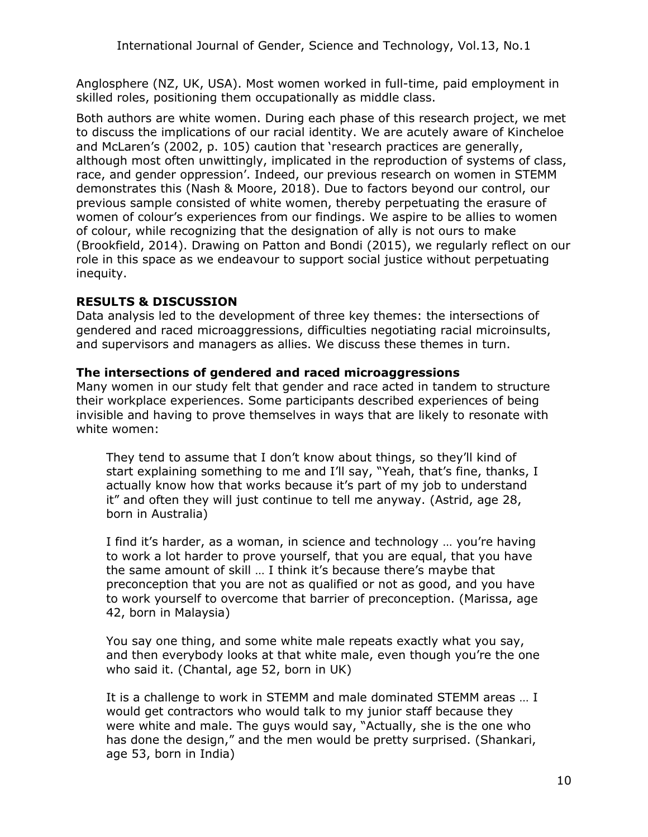Anglosphere (NZ, UK, USA). Most women worked in full-time, paid employment in skilled roles, positioning them occupationally as middle class.

Both authors are white women. During each phase of this research project, we met to discuss the implications of our racial identity. We are acutely aware of Kincheloe and McLaren's (2002, p. 105) caution that 'research practices are generally, although most often unwittingly, implicated in the reproduction of systems of class, race, and gender oppression'. Indeed, our previous research on women in STEMM demonstrates this (Nash & Moore, 2018). Due to factors beyond our control, our previous sample consisted of white women, thereby perpetuating the erasure of women of colour's experiences from our findings. We aspire to be allies to women of colour, while recognizing that the designation of ally is not ours to make (Brookfield, 2014). Drawing on Patton and Bondi (2015), we regularly reflect on our role in this space as we endeavour to support social justice without perpetuating inequity.

### **RESULTS & DISCUSSION**

Data analysis led to the development of three key themes: the intersections of gendered and raced microaggressions, difficulties negotiating racial microinsults, and supervisors and managers as allies. We discuss these themes in turn.

### **The intersections of gendered and raced microaggressions**

Many women in our study felt that gender and race acted in tandem to structure their workplace experiences. Some participants described experiences of being invisible and having to prove themselves in ways that are likely to resonate with white women:

They tend to assume that I don't know about things, so they'll kind of start explaining something to me and I'll say, "Yeah, that's fine, thanks, I actually know how that works because it's part of my job to understand it" and often they will just continue to tell me anyway. (Astrid, age 28, born in Australia)

I find it's harder, as a woman, in science and technology … you're having to work a lot harder to prove yourself, that you are equal, that you have the same amount of skill … I think it's because there's maybe that preconception that you are not as qualified or not as good, and you have to work yourself to overcome that barrier of preconception. (Marissa, age 42, born in Malaysia)

You say one thing, and some white male repeats exactly what you say, and then everybody looks at that white male, even though you're the one who said it. (Chantal, age 52, born in UK)

It is a challenge to work in STEMM and male dominated STEMM areas … I would get contractors who would talk to my junior staff because they were white and male. The guys would say, "Actually, she is the one who has done the design," and the men would be pretty surprised. (Shankari, age 53, born in India)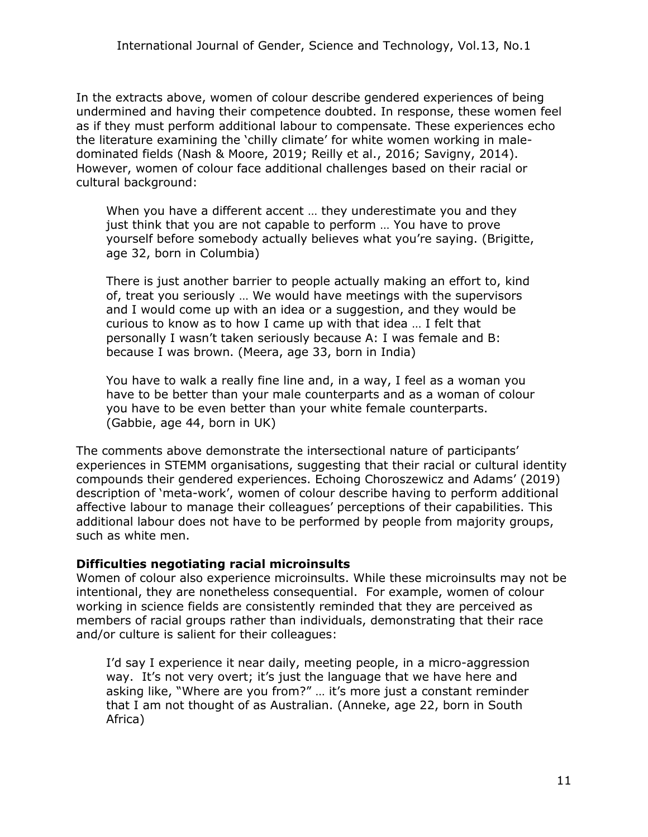In the extracts above, women of colour describe gendered experiences of being undermined and having their competence doubted. In response, these women feel as if they must perform additional labour to compensate. These experiences echo the literature examining the 'chilly climate' for white women working in maledominated fields (Nash & Moore, 2019; Reilly et al., 2016; Savigny, 2014). However, women of colour face additional challenges based on their racial or cultural background:

When you have a different accent … they underestimate you and they just think that you are not capable to perform … You have to prove yourself before somebody actually believes what you're saying. (Brigitte, age 32, born in Columbia)

There is just another barrier to people actually making an effort to, kind of, treat you seriously … We would have meetings with the supervisors and I would come up with an idea or a suggestion, and they would be curious to know as to how I came up with that idea … I felt that personally I wasn't taken seriously because A: I was female and B: because I was brown. (Meera, age 33, born in India)

You have to walk a really fine line and, in a way, I feel as a woman you have to be better than your male counterparts and as a woman of colour you have to be even better than your white female counterparts. (Gabbie, age 44, born in UK)

The comments above demonstrate the intersectional nature of participants' experiences in STEMM organisations, suggesting that their racial or cultural identity compounds their gendered experiences. Echoing Choroszewicz and Adams' (2019) description of 'meta-work', women of colour describe having to perform additional affective labour to manage their colleagues' perceptions of their capabilities. This additional labour does not have to be performed by people from majority groups, such as white men.

#### **Difficulties negotiating racial microinsults**

Women of colour also experience microinsults. While these microinsults may not be intentional, they are nonetheless consequential. For example, women of colour working in science fields are consistently reminded that they are perceived as members of racial groups rather than individuals, demonstrating that their race and/or culture is salient for their colleagues:

I'd say I experience it near daily, meeting people, in a micro-aggression way. It's not very overt; it's just the language that we have here and asking like, "Where are you from?" … it's more just a constant reminder that I am not thought of as Australian. (Anneke, age 22, born in South Africa)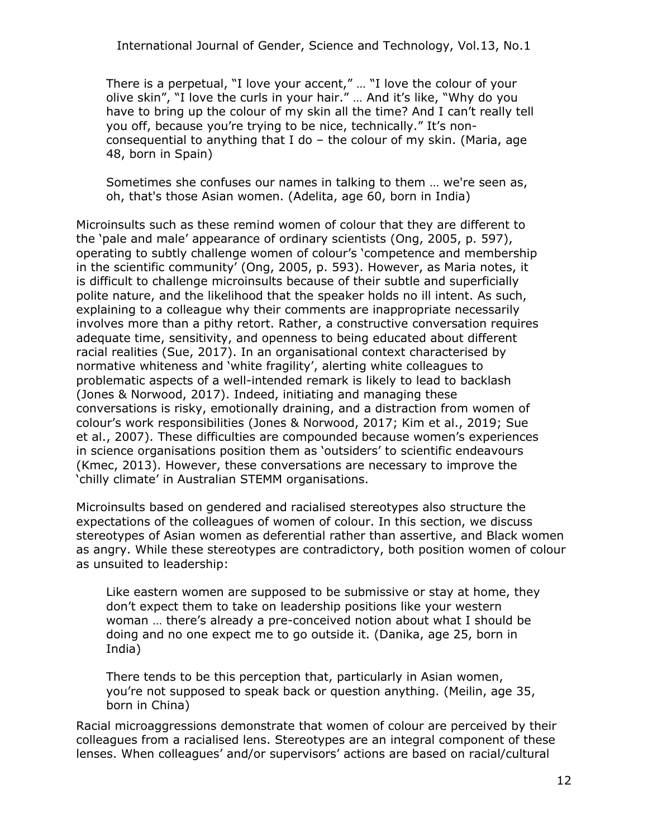There is a perpetual, "I love your accent," … "I love the colour of your olive skin", "I love the curls in your hair." … And it's like, "Why do you have to bring up the colour of my skin all the time? And I can't really tell you off, because you're trying to be nice, technically." It's nonconsequential to anything that I do – the colour of my skin. (Maria, age 48, born in Spain)

Sometimes she confuses our names in talking to them … we're seen as, oh, that's those Asian women. (Adelita, age 60, born in India)

Microinsults such as these remind women of colour that they are different to the 'pale and male' appearance of ordinary scientists (Ong, 2005, p. 597), operating to subtly challenge women of colour's 'competence and membership in the scientific community' (Ong, 2005, p. 593). However, as Maria notes, it is difficult to challenge microinsults because of their subtle and superficially polite nature, and the likelihood that the speaker holds no ill intent. As such, explaining to a colleague why their comments are inappropriate necessarily involves more than a pithy retort. Rather, a constructive conversation requires adequate time, sensitivity, and openness to being educated about different racial realities (Sue, 2017). In an organisational context characterised by normative whiteness and 'white fragility', alerting white colleagues to problematic aspects of a well-intended remark is likely to lead to backlash (Jones & Norwood, 2017). Indeed, initiating and managing these conversations is risky, emotionally draining, and a distraction from women of colour's work responsibilities (Jones & Norwood, 2017; Kim et al., 2019; Sue et al., 2007). These difficulties are compounded because women's experiences in science organisations position them as 'outsiders' to scientific endeavours (Kmec, 2013). However, these conversations are necessary to improve the 'chilly climate' in Australian STEMM organisations.

Microinsults based on gendered and racialised stereotypes also structure the expectations of the colleagues of women of colour. In this section, we discuss stereotypes of Asian women as deferential rather than assertive, and Black women as angry. While these stereotypes are contradictory, both position women of colour as unsuited to leadership:

Like eastern women are supposed to be submissive or stay at home, they don't expect them to take on leadership positions like your western woman … there's already a pre-conceived notion about what I should be doing and no one expect me to go outside it. (Danika, age 25, born in India)

There tends to be this perception that, particularly in Asian women, you're not supposed to speak back or question anything. (Meilin, age 35, born in China)

Racial microaggressions demonstrate that women of colour are perceived by their colleagues from a racialised lens. Stereotypes are an integral component of these lenses. When colleagues' and/or supervisors' actions are based on racial/cultural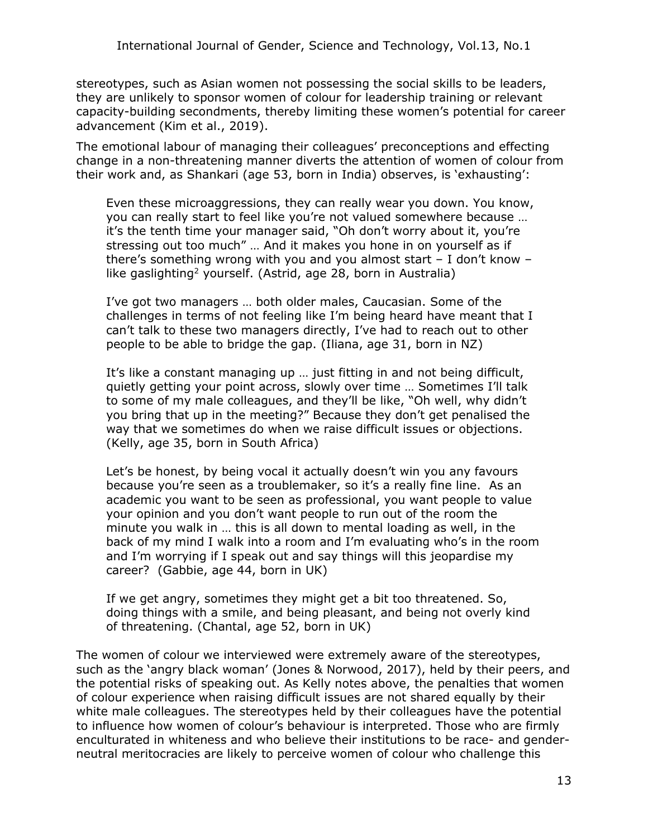stereotypes, such as Asian women not possessing the social skills to be leaders, they are unlikely to sponsor women of colour for leadership training or relevant capacity-building secondments, thereby limiting these women's potential for career advancement (Kim et al., 2019).

The emotional labour of managing their colleagues' preconceptions and effecting change in a non-threatening manner diverts the attention of women of colour from their work and, as Shankari (age 53, born in India) observes, is 'exhausting':

Even these microaggressions, they can really wear you down. You know, you can really start to feel like you're not valued somewhere because … it's the tenth time your manager said, "Oh don't worry about it, you're stressing out too much" … And it makes you hone in on yourself as if there's something wrong with you and you almost start – I don't know – like gaslighting<sup>2</sup> yourself. (Astrid, age 28, born in Australia)

I've got two managers … both older males, Caucasian. Some of the challenges in terms of not feeling like I'm being heard have meant that I can't talk to these two managers directly, I've had to reach out to other people to be able to bridge the gap. (Iliana, age 31, born in NZ)

It's like a constant managing up … just fitting in and not being difficult, quietly getting your point across, slowly over time … Sometimes I'll talk to some of my male colleagues, and they'll be like, "Oh well, why didn't you bring that up in the meeting?" Because they don't get penalised the way that we sometimes do when we raise difficult issues or objections. (Kelly, age 35, born in South Africa)

Let's be honest, by being vocal it actually doesn't win you any favours because you're seen as a troublemaker, so it's a really fine line. As an academic you want to be seen as professional, you want people to value your opinion and you don't want people to run out of the room the minute you walk in … this is all down to mental loading as well, in the back of my mind I walk into a room and I'm evaluating who's in the room and I'm worrying if I speak out and say things will this jeopardise my career? (Gabbie, age 44, born in UK)

If we get angry, sometimes they might get a bit too threatened. So, doing things with a smile, and being pleasant, and being not overly kind of threatening. (Chantal, age 52, born in UK)

The women of colour we interviewed were extremely aware of the stereotypes, such as the 'angry black woman' (Jones & Norwood, 2017), held by their peers, and the potential risks of speaking out. As Kelly notes above, the penalties that women of colour experience when raising difficult issues are not shared equally by their white male colleagues. The stereotypes held by their colleagues have the potential to influence how women of colour's behaviour is interpreted. Those who are firmly enculturated in whiteness and who believe their institutions to be race- and genderneutral meritocracies are likely to perceive women of colour who challenge this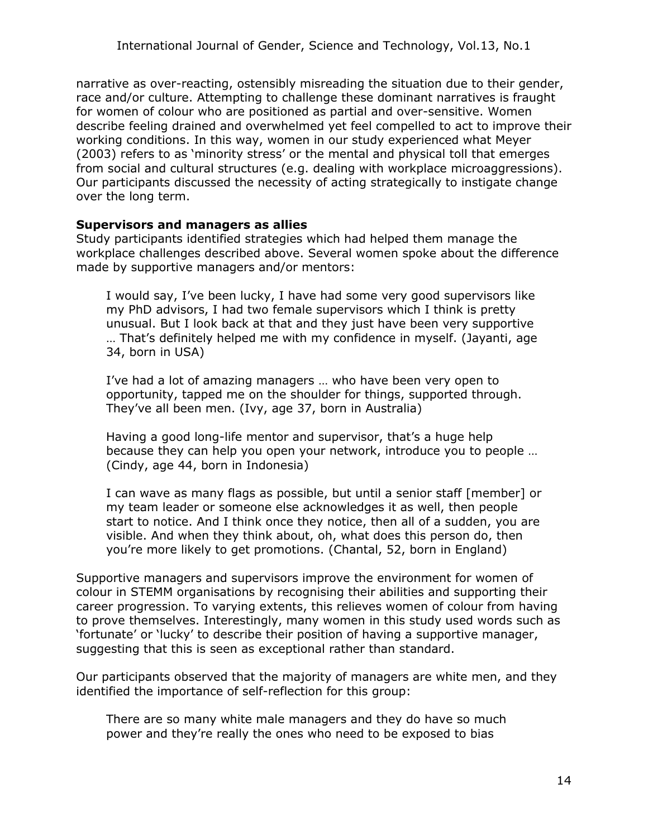narrative as over-reacting, ostensibly misreading the situation due to their gender, race and/or culture. Attempting to challenge these dominant narratives is fraught for women of colour who are positioned as partial and over-sensitive. Women describe feeling drained and overwhelmed yet feel compelled to act to improve their working conditions. In this way, women in our study experienced what Meyer (2003) refers to as 'minority stress' or the mental and physical toll that emerges from social and cultural structures (e.g. dealing with workplace microaggressions). Our participants discussed the necessity of acting strategically to instigate change over the long term.

#### **Supervisors and managers as allies**

Study participants identified strategies which had helped them manage the workplace challenges described above. Several women spoke about the difference made by supportive managers and/or mentors:

I would say, I've been lucky, I have had some very good supervisors like my PhD advisors, I had two female supervisors which I think is pretty unusual. But I look back at that and they just have been very supportive … That's definitely helped me with my confidence in myself. (Jayanti, age 34, born in USA)

I've had a lot of amazing managers … who have been very open to opportunity, tapped me on the shoulder for things, supported through. They've all been men. (Ivy, age 37, born in Australia)

Having a good long-life mentor and supervisor, that's a huge help because they can help you open your network, introduce you to people … (Cindy, age 44, born in Indonesia)

I can wave as many flags as possible, but until a senior staff [member] or my team leader or someone else acknowledges it as well, then people start to notice. And I think once they notice, then all of a sudden, you are visible. And when they think about, oh, what does this person do, then you're more likely to get promotions. (Chantal, 52, born in England)

Supportive managers and supervisors improve the environment for women of colour in STEMM organisations by recognising their abilities and supporting their career progression. To varying extents, this relieves women of colour from having to prove themselves. Interestingly, many women in this study used words such as 'fortunate' or 'lucky' to describe their position of having a supportive manager, suggesting that this is seen as exceptional rather than standard.

Our participants observed that the majority of managers are white men, and they identified the importance of self-reflection for this group:

There are so many white male managers and they do have so much power and they're really the ones who need to be exposed to bias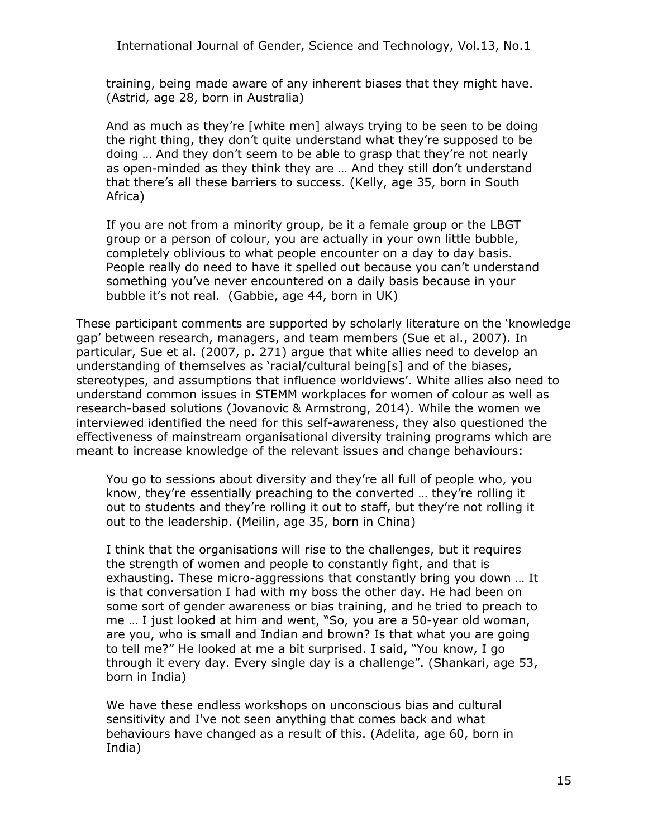International Journal of Gender, Science and Technology, Vol.13, No.1

training, being made aware of any inherent biases that they might have. (Astrid, age 28, born in Australia)

And as much as they're [white men] always trying to be seen to be doing the right thing, they don't quite understand what they're supposed to be doing … And they don't seem to be able to grasp that they're not nearly as open-minded as they think they are … And they still don't understand that there's all these barriers to success. (Kelly, age 35, born in South Africa)

If you are not from a minority group, be it a female group or the LBGT group or a person of colour, you are actually in your own little bubble, completely oblivious to what people encounter on a day to day basis. People really do need to have it spelled out because you can't understand something you've never encountered on a daily basis because in your bubble it's not real. (Gabbie, age 44, born in UK)

These participant comments are supported by scholarly literature on the 'knowledge gap' between research, managers, and team members (Sue et al., 2007). In particular, Sue et al. (2007, p. 271) argue that white allies need to develop an understanding of themselves as 'racial/cultural being[s] and of the biases, stereotypes, and assumptions that influence worldviews'. White allies also need to understand common issues in STEMM workplaces for women of colour as well as research-based solutions (Jovanovic & Armstrong, 2014). While the women we interviewed identified the need for this self-awareness, they also questioned the effectiveness of mainstream organisational diversity training programs which are meant to increase knowledge of the relevant issues and change behaviours:

You go to sessions about diversity and they're all full of people who, you know, they're essentially preaching to the converted … they're rolling it out to students and they're rolling it out to staff, but they're not rolling it out to the leadership. (Meilin, age 35, born in China)

I think that the organisations will rise to the challenges, but it requires the strength of women and people to constantly fight, and that is exhausting. These micro-aggressions that constantly bring you down … It is that conversation I had with my boss the other day. He had been on some sort of gender awareness or bias training, and he tried to preach to me … I just looked at him and went, "So, you are a 50-year old woman, are you, who is small and Indian and brown? Is that what you are going to tell me?" He looked at me a bit surprised. I said, "You know, I go through it every day. Every single day is a challenge". (Shankari, age 53, born in India)

We have these endless workshops on unconscious bias and cultural sensitivity and I've not seen anything that comes back and what behaviours have changed as a result of this. (Adelita, age 60, born in India)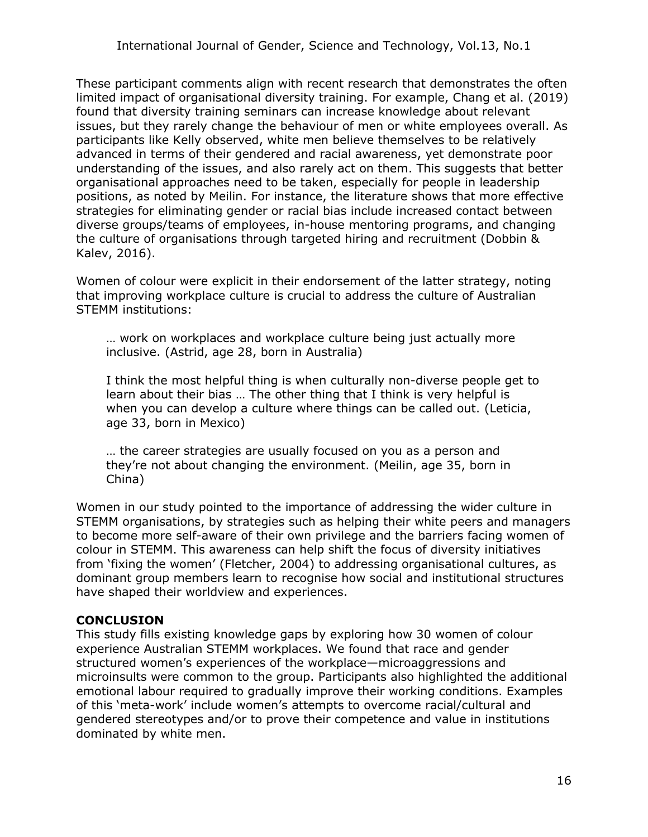These participant comments align with recent research that demonstrates the often limited impact of organisational diversity training. For example, Chang et al. (2019) found that diversity training seminars can increase knowledge about relevant issues, but they rarely change the behaviour of men or white employees overall. As participants like Kelly observed, white men believe themselves to be relatively advanced in terms of their gendered and racial awareness, yet demonstrate poor understanding of the issues, and also rarely act on them. This suggests that better organisational approaches need to be taken, especially for people in leadership positions, as noted by Meilin. For instance, the literature shows that more effective strategies for eliminating gender or racial bias include increased contact between diverse groups/teams of employees, in-house mentoring programs, and changing the culture of organisations through targeted hiring and recruitment (Dobbin & Kalev, 2016).

Women of colour were explicit in their endorsement of the latter strategy, noting that improving workplace culture is crucial to address the culture of Australian STEMM institutions:

… work on workplaces and workplace culture being just actually more inclusive. (Astrid, age 28, born in Australia)

I think the most helpful thing is when culturally non-diverse people get to learn about their bias … The other thing that I think is very helpful is when you can develop a culture where things can be called out. (Leticia, age 33, born in Mexico)

… the career strategies are usually focused on you as a person and they're not about changing the environment. (Meilin, age 35, born in China)

Women in our study pointed to the importance of addressing the wider culture in STEMM organisations, by strategies such as helping their white peers and managers to become more self-aware of their own privilege and the barriers facing women of colour in STEMM. This awareness can help shift the focus of diversity initiatives from 'fixing the women' (Fletcher, 2004) to addressing organisational cultures, as dominant group members learn to recognise how social and institutional structures have shaped their worldview and experiences.

#### **CONCLUSION**

This study fills existing knowledge gaps by exploring how 30 women of colour experience Australian STEMM workplaces. We found that race and gender structured women's experiences of the workplace—microaggressions and microinsults were common to the group. Participants also highlighted the additional emotional labour required to gradually improve their working conditions. Examples of this 'meta-work' include women's attempts to overcome racial/cultural and gendered stereotypes and/or to prove their competence and value in institutions dominated by white men.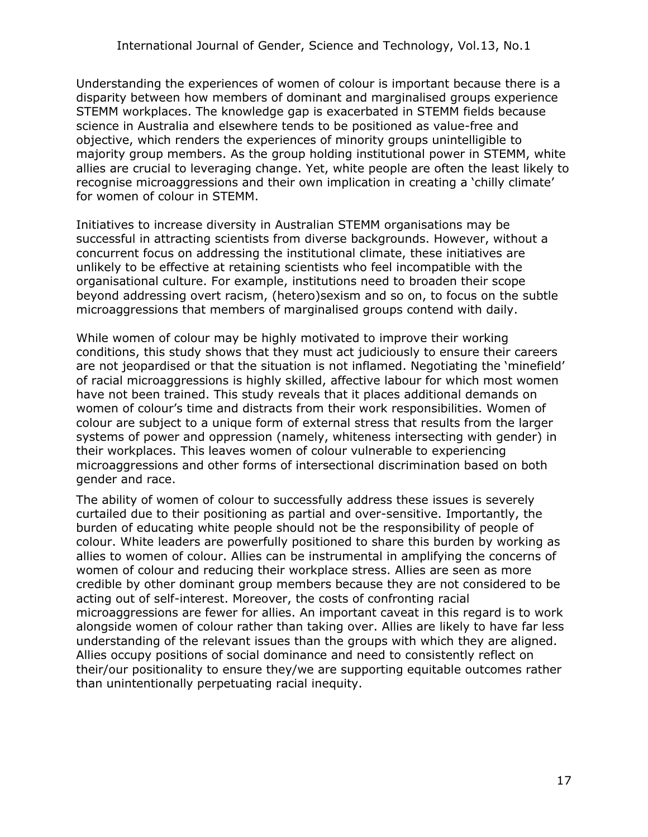Understanding the experiences of women of colour is important because there is a disparity between how members of dominant and marginalised groups experience STEMM workplaces. The knowledge gap is exacerbated in STEMM fields because science in Australia and elsewhere tends to be positioned as value-free and objective, which renders the experiences of minority groups unintelligible to majority group members. As the group holding institutional power in STEMM, white allies are crucial to leveraging change. Yet, white people are often the least likely to recognise microaggressions and their own implication in creating a 'chilly climate' for women of colour in STEMM.

Initiatives to increase diversity in Australian STEMM organisations may be successful in attracting scientists from diverse backgrounds. However, without a concurrent focus on addressing the institutional climate, these initiatives are unlikely to be effective at retaining scientists who feel incompatible with the organisational culture. For example, institutions need to broaden their scope beyond addressing overt racism, (hetero)sexism and so on, to focus on the subtle microaggressions that members of marginalised groups contend with daily.

While women of colour may be highly motivated to improve their working conditions, this study shows that they must act judiciously to ensure their careers are not jeopardised or that the situation is not inflamed. Negotiating the 'minefield' of racial microaggressions is highly skilled, affective labour for which most women have not been trained. This study reveals that it places additional demands on women of colour's time and distracts from their work responsibilities. Women of colour are subject to a unique form of external stress that results from the larger systems of power and oppression (namely, whiteness intersecting with gender) in their workplaces. This leaves women of colour vulnerable to experiencing microaggressions and other forms of intersectional discrimination based on both gender and race.

The ability of women of colour to successfully address these issues is severely curtailed due to their positioning as partial and over-sensitive. Importantly, the burden of educating white people should not be the responsibility of people of colour. White leaders are powerfully positioned to share this burden by working as allies to women of colour. Allies can be instrumental in amplifying the concerns of women of colour and reducing their workplace stress. Allies are seen as more credible by other dominant group members because they are not considered to be acting out of self-interest. Moreover, the costs of confronting racial microaggressions are fewer for allies. An important caveat in this regard is to work alongside women of colour rather than taking over. Allies are likely to have far less understanding of the relevant issues than the groups with which they are aligned. Allies occupy positions of social dominance and need to consistently reflect on their/our positionality to ensure they/we are supporting equitable outcomes rather than unintentionally perpetuating racial inequity.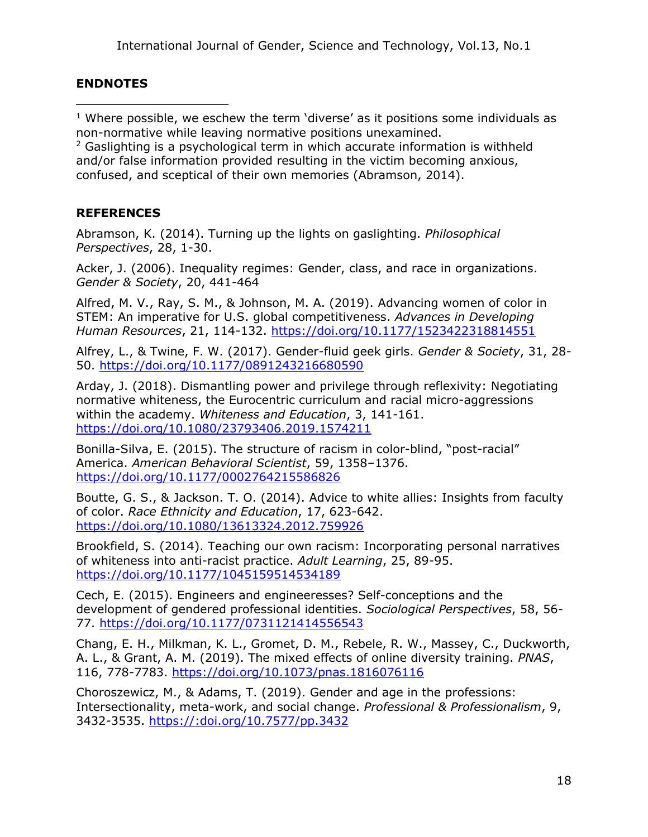### **ENDNOTES**

 $1$  Where possible, we eschew the term 'diverse' as it positions some individuals as non-normative while leaving normative positions unexamined.

 $2$  Gaslighting is a psychological term in which accurate information is withheld and/or false information provided resulting in the victim becoming anxious, confused, and sceptical of their own memories (Abramson, 2014).

### **REFERENCES**

Abramson, K. (2014). Turning up the lights on gaslighting. *Philosophical Perspectives*, 28, 1-30.

Acker, J. (2006). Inequality regimes: Gender, class, and race in organizations. *Gender & Society*, 20, 441-464

Alfred, M. V., Ray, S. M., & Johnson, M. A. (2019). Advancing women of color in STEM: An imperative for U.S. global competitiveness. *Advances in Developing Human Resources*, 21, 114-132.<https://doi.org/10.1177/1523422318814551>

Alfrey, L., & Twine, F. W. (2017). Gender-fluid geek girls. *Gender & Society*, 31, 28- 50. <https://doi.org/10.1177/0891243216680590>

Arday, J. (2018). Dismantling power and privilege through reflexivity: Negotiating normative whiteness, the Eurocentric curriculum and racial micro-aggressions within the academy. *Whiteness and Education*, 3, 141-161. <https://doi.org/10.1080/23793406.2019.1574211>

Bonilla-Silva, E. (2015). The structure of racism in color-blind, "post-racial" America. *American Behavioral Scientist*, 59, 1358–1376. <https://doi.org/10.1177/0002764215586826>

Boutte, G. S., & Jackson. T. O. (2014). Advice to white allies: Insights from faculty of color. *Race Ethnicity and Education*, 17, 623-642. <https://doi.org/10.1080/13613324.2012.759926>

Brookfield, S. (2014). Teaching our own racism: Incorporating personal narratives of whiteness into anti-racist practice. *Adult Learning*, 25, 89-95. <https://doi.org/10.1177/1045159514534189>

Cech, E. (2015). Engineers and engineeresses? Self-conceptions and the development of gendered professional identities. *Sociological Perspectives*, 58, 56- 77. <https://doi.org/10.1177/0731121414556543>

Chang, E. H., Milkman, K. L., Gromet, D. M., Rebele, R. W., Massey, C., Duckworth, A. L., & Grant, A. M. (2019). The mixed effects of online diversity training. *PNAS*, 116, 778-7783.<https://doi.org/10.1073/pnas.1816076116>

Choroszewicz, M., & Adams, T. (2019). Gender and age in the professions: Intersectionality, meta-work, and social change. *Professional & Professionalism*, 9, 3432-3535. https://:doi.org/10.7577/pp.3432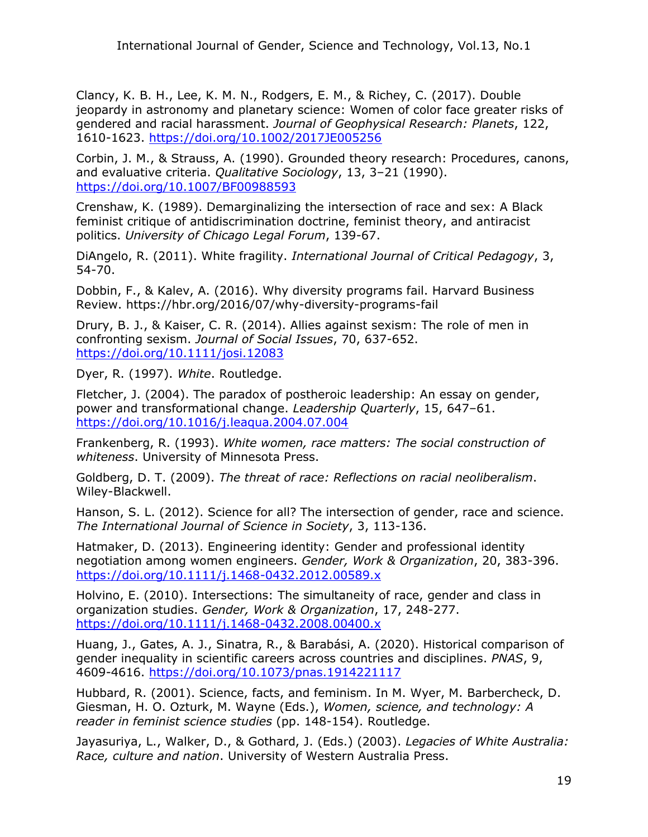Clancy, K. B. H., Lee, K. M. N., Rodgers, E. M., & Richey, C. (2017). Double jeopardy in astronomy and planetary science: Women of color face greater risks of gendered and racial harassment. *Journal of Geophysical Research: Planets*, 122, 1610-1623.<https://doi.org/10.1002/2017JE005256>

Corbin, J. M., & Strauss, A. (1990). Grounded theory research: Procedures, canons, and evaluative criteria. *Qualitative Sociology*, 13, 3–21 (1990). <https://doi.org/10.1007/BF00988593>

Crenshaw, K. (1989). Demarginalizing the intersection of race and sex: A Black feminist critique of antidiscrimination doctrine, feminist theory, and antiracist politics. *University of Chicago Legal Forum*, 139-67.

DiAngelo, R. (2011). White fragility. *International Journal of Critical Pedagogy*, 3, 54-70.

Dobbin, F., & Kalev, A. (2016). Why diversity programs fail. Harvard Business Review. https://hbr.org/2016/07/why-diversity-programs-fail

Drury, B. J., & Kaiser, C. R. (2014). Allies against sexism: The role of men in confronting sexism. *Journal of Social Issues*, 70, 637-652. <https://doi.org/10.1111/josi.12083>

Dyer, R. (1997). *White*. Routledge.

Fletcher, J. (2004). The paradox of postheroic leadership: An essay on gender, power and transformational change. *Leadership Quarterly*, 15, 647–61. <https://doi.org/10.1016/j.leaqua.2004.07.004>

Frankenberg, R. (1993). *White women, race matters: The social construction of whiteness*. University of Minnesota Press.

Goldberg, D. T. (2009). *The threat of race: Reflections on racial neoliberalism*. Wiley-Blackwell.

Hanson, S. L. (2012). Science for all? The intersection of gender, race and science. *The International Journal of Science in Society*, 3, 113-136.

Hatmaker, D. (2013). Engineering identity: Gender and professional identity negotiation among women engineers. *Gender, Work & Organization*, 20, 383-396. <https://doi.org/10.1111/j.1468-0432.2012.00589.x>

Holvino, E. (2010). Intersections: The simultaneity of race, gender and class in organization studies. *Gender, Work & Organization*, 17, 248-277. <https://doi.org/10.1111/j.1468-0432.2008.00400.x>

Huang, J., Gates, A. J., Sinatra, R., & Barabási, A. (2020). Historical comparison of gender inequality in scientific careers across countries and disciplines. *PNAS*, 9, 4609-4616. <https://doi.org/10.1073/pnas.1914221117>

Hubbard, R. (2001). Science, facts, and feminism. In M. Wyer, M. Barbercheck, D. Giesman, H. O. Ozturk, M. Wayne (Eds.), *Women, science, and technology: A reader in feminist science studies* (pp. 148-154). Routledge.

Jayasuriya, L., Walker, D., & Gothard, J. (Eds.) (2003). *Legacies of White Australia: Race, culture and nation*. University of Western Australia Press.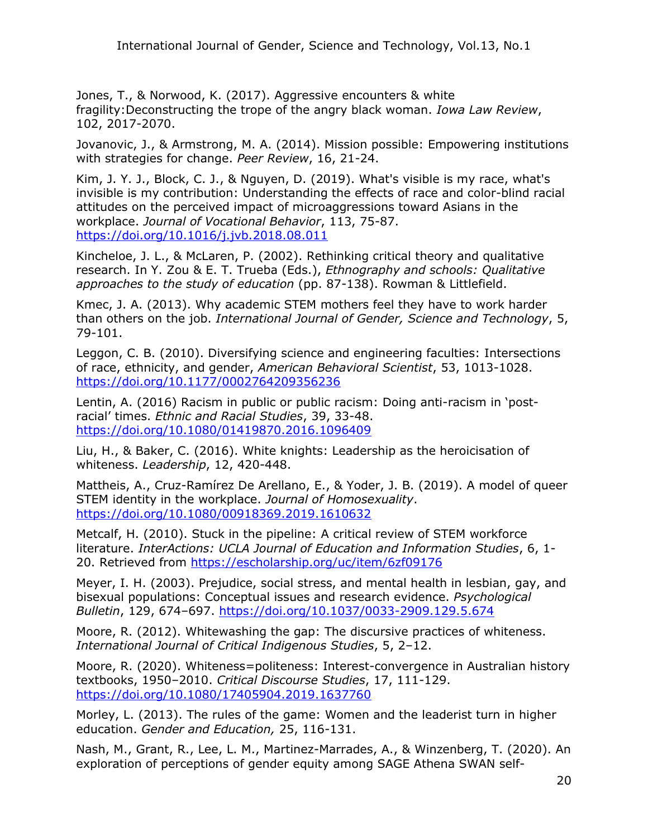Jones, T., & Norwood, K. (2017). Aggressive encounters & white fragility:Deconstructing the trope of the angry black woman. *Iowa Law Review*, 102, 2017-2070.

Jovanovic, J., & Armstrong, M. A. (2014). Mission possible: Empowering institutions with strategies for change. *Peer Review*, 16, 21-24.

Kim, J. Y. J., Block, C. J., & Nguyen, D. (2019). What's visible is my race, what's invisible is my contribution: Understanding the effects of race and color-blind racial attitudes on the perceived impact of microaggressions toward Asians in the workplace. *Journal of Vocational Behavior*, 113, 75-87. <https://doi.org/10.1016/j.jvb.2018.08.011>

Kincheloe, J. L., & McLaren, P. (2002). Rethinking critical theory and qualitative research. In Y. Zou & E. T. Trueba (Eds.), *Ethnography and schools: Qualitative approaches to the study of education* (pp. 87-138). Rowman & Littlefield.

Kmec, J. A. (2013). Why academic STEM mothers feel they have to work harder than others on the job. *International Journal of Gender, Science and Technology*, 5, 79-101.

Leggon, C. B. (2010). Diversifying science and engineering faculties: Intersections of race, ethnicity, and gender, *American Behavioral Scientist*, 53, 1013-1028. <https://doi.org/10.1177/0002764209356236>

Lentin, A. (2016) Racism in public or public racism: Doing anti-racism in 'postracial' times. *Ethnic and Racial Studies*, 39, 33-48. <https://doi.org/10.1080/01419870.2016.1096409>

Liu, H., & Baker, C. (2016). White knights: Leadership as the heroicisation of whiteness. *Leadership*, 12, 420-448.

Mattheis, A., Cruz-Ramírez De Arellano, E., & Yoder, J. B. (2019). A model of queer STEM identity in the workplace. *Journal of Homosexuality*. <https://doi.org/10.1080/00918369.2019.1610632>

Metcalf, H. (2010). Stuck in the pipeline: A critical review of STEM workforce literature. *InterActions: UCLA Journal of Education and Information Studies*, 6, 1- 20. Retrieved from<https://escholarship.org/uc/item/6zf09176>

Meyer, I. H. (2003). Prejudice, social stress, and mental health in lesbian, gay, and bisexual populations: Conceptual issues and research evidence. *Psychological Bulletin*, 129, 674–697.<https://doi.org/10.1037/0033-2909.129.5.674>

Moore, R. (2012). Whitewashing the gap: The discursive practices of whiteness. *International Journal of Critical Indigenous Studies*, 5, 2–12.

Moore, R. (2020). Whiteness=politeness: Interest-convergence in Australian history textbooks, 1950–2010. *Critical Discourse Studies*, 17, 111-129. <https://doi.org/10.1080/17405904.2019.1637760>

Morley, L. (2013). The rules of the game: Women and the leaderist turn in higher education. *Gender and Education,* 25, 116-131.

Nash, M., Grant, R., Lee, L. M., Martinez-Marrades, A., & Winzenberg, T. (2020). An exploration of perceptions of gender equity among SAGE Athena SWAN self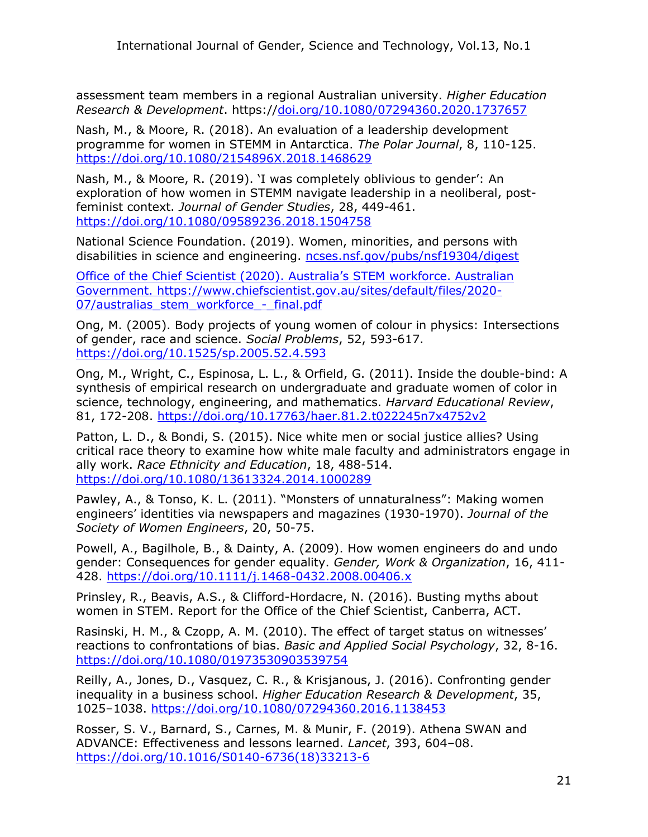assessment team members in a regional Australian university. *Higher Education Research & Development*. https:/[/doi.org/10.1080/07294360.2020.1737657](https://doi.org/10.1080/07294360.2020.1737657)

Nash, M., & Moore, R. (2018). An evaluation of a leadership development programme for women in STEMM in Antarctica. *The Polar Journal*, 8, 110-125. <https://doi.org/10.1080/2154896X.2018.1468629>

Nash, M., & Moore, R. (2019). 'I was completely oblivious to gender': An exploration of how women in STEMM navigate leadership in a neoliberal, postfeminist context. *Journal of Gender Studies*, 28, 449-461. <https://doi.org/10.1080/09589236.2018.1504758>

National Science Foundation. (2019). Women, minorities, and persons with disabilities in science and engineering. [ncses.nsf.gov/pubs/nsf19304/digest](https://ncses.nsf.gov/pubs/nsf19304/digest)

Office of the Chief Scientist (2020). Australia's STEM workforce. Australian Government. [https://www.chiefscientist.gov.au/sites/default/files/2020-](https://www.chiefscientist.gov.au/sites/default/files/2020-07/australias_stem_workforce_-_final.pdf) [07/australias\\_stem\\_workforce\\_-\\_final.pdf](https://www.chiefscientist.gov.au/sites/default/files/2020-07/australias_stem_workforce_-_final.pdf)

Ong, M. (2005). Body projects of young women of colour in physics: Intersections of gender, race and science. *Social Problems*, 52, 593-617. <https://doi.org/10.1525/sp.2005.52.4.593>

Ong, M., Wright, C., Espinosa, L. L., & Orfield, G. (2011). Inside the double-bind: A synthesis of empirical research on undergraduate and graduate women of color in science, technology, engineering, and mathematics. *Harvard Educational Review*, 81, 172-208.<https://doi.org/10.17763/haer.81.2.t022245n7x4752v2>

Patton, L. D., & Bondi, S. (2015). Nice white men or social justice allies? Using critical race theory to examine how white male faculty and administrators engage in ally work. *Race Ethnicity and Education*, 18, 488-514. <https://doi.org/10.1080/13613324.2014.1000289>

Pawley, A., & Tonso, K. L. (2011). "Monsters of unnaturalness": Making women engineers' identities via newspapers and magazines (1930-1970). *Journal of the Society of Women Engineers*, 20, 50-75.

Powell, A., Bagilhole, B., & Dainty, A. (2009). How women engineers do and undo gender: Consequences for gender equality. *Gender, Work & Organization*, 16, 411- 428. <https://doi.org/10.1111/j.1468-0432.2008.00406.x>

Prinsley, R., Beavis, A.S., & Clifford-Hordacre, N. (2016). Busting myths about women in STEM. Report for the Office of the Chief Scientist, Canberra, ACT.

Rasinski, H. M., & Czopp, A. M. (2010). The effect of target status on witnesses' reactions to confrontations of bias. *Basic and Applied Social Psychology*, 32, 8-16. <https://doi.org/10.1080/01973530903539754>

Reilly, A., Jones, D., Vasquez, C. R., & Krisjanous, J. (2016). Confronting gender inequality in a business school. *Higher Education Research & Development*, 35, 1025–1038. <https://doi.org/10.1080/07294360.2016.1138453>

Rosser, S. V., Barnard, S., Carnes, M. & Munir, F. (2019). Athena SWAN and ADVANCE: Effectiveness and lessons learned. *Lancet*, 393, 604–08. [https://doi.org/10.1016/S0140-6736\(18\)33213-6](https://doi.org/10.1016/S0140-6736(18)33213-6)